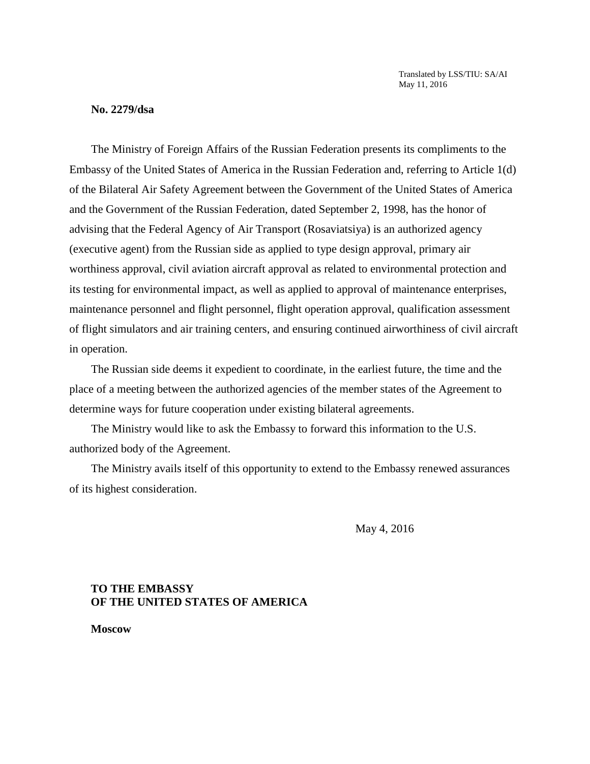Translated by LSS/TIU: SA/AI May 11, 2016

#### **No. 2279/dsa**

 The Ministry of Foreign Affairs of the Russian Federation presents its compliments to the advising that the Federal Agency of Air Transport (Rosaviatsiya) is an authorized agency (executive agent) from the Russian side as applied to type design approval, primary air of flight simulators and air training centers, and ensuring continued airworthiness of civil aircraft Embassy of the United States of America in the Russian Federation and, referring to Article 1(d) of the Bilateral Air Safety Agreement between the Government of the United States of America and the Government of the Russian Federation, dated September 2, 1998, has the honor of worthiness approval, civil aviation aircraft approval as related to environmental protection and its testing for environmental impact, as well as applied to approval of maintenance enterprises, maintenance personnel and flight personnel, flight operation approval, qualification assessment in operation.

The Russian side deems it expedient to coordinate, in the earliest future, the time and the place of a meeting between the authorized agencies of the member states of the Agreement to determine ways for future cooperation under existing bilateral agreements.

The Ministry would like to ask the Embassy to forward this information to the U.S. authorized body of the Agreement.

The Ministry avails itself of this opportunity to extend to the Embassy renewed assurances of its highest consideration.

May 4, 2016

## **TO THE EMBASSY OF THE UNITED STATES OF AMERICA**

**Moscow**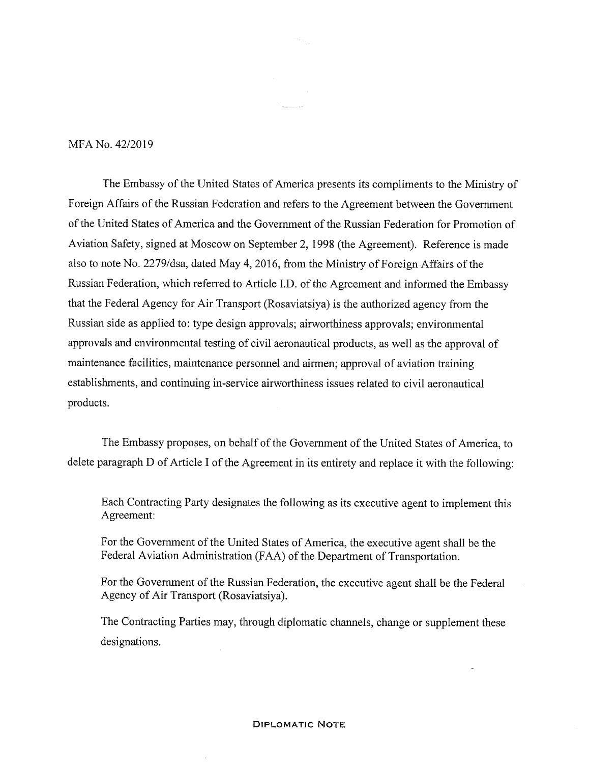#### MFA No. 42/2019

The Embassy of the United States of America presents its compliments to the Ministry of Foreign Affairs of the Russian Federation and refers to the Agreement between the Government of the United States of America and the Government of the Russian Federation for Promotion of Aviation Safety, signed at Moscow on September 2, 1998 (the Agreement). Reference is made also to note No. 2279/dsa, dated May 4, 2016, from the Ministry of Foreign Affairs of the Russian Federation, which referred to Article I.D. of the Agreement and informed the Embassy that the Federal Agency for Air Transport (Rosaviatsiya) is the authorized agency from the Russian side as applied to: type design approvals; airworthiness approvals; environmental approvals and environmental testing of civil aeronautical products, as well as the approval of maintenance facilities, maintenance personnel and airmen; approval of aviation training establishments, and continuing in-service airworthiness issues related to civil aeronautical products.

The Embassy proposes, on behalf of the Government of the United States of America, to delete paragraph D of Article I of the Agreement in its entirety and replace it with the following:

Each Contracting Party designates the following as its executive agent to implement this Agreement:

For the Government of the United States of America, the executive agent shall be the Federal Aviation Administration (FAA) of the Department of Transportation.

For the Government of the Russian Federation, the executive agent shall be the Federal Agency of Air Transport (Rosaviatsiya).

The Contracting Parties may, through diplomatic channels, change or supplement these designations.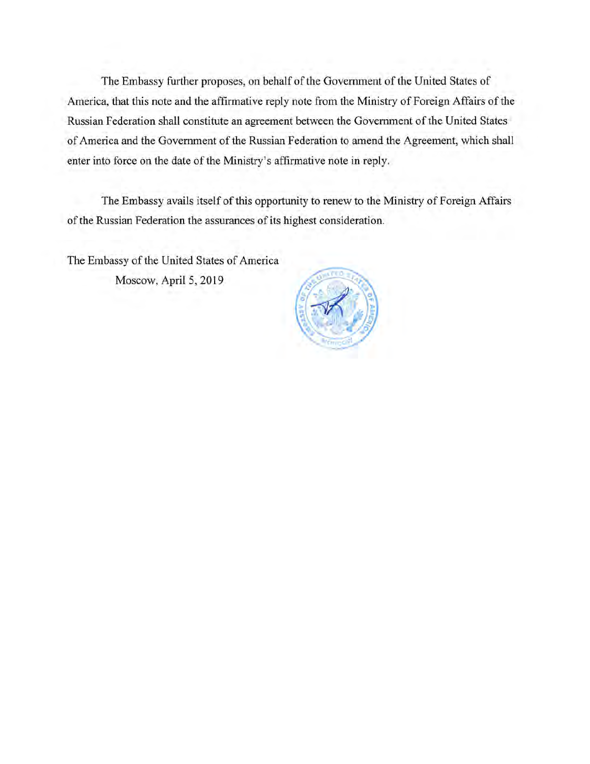The Embassy further proposes, on behalf of the Government of the United States of America, that this note and the affirmative reply note from the Ministry of Foreign Affairs of the Russian Federation shall constitute an agreement between the Government of the United States of America and the Government of the Russian Federation to amend the Agreement, which shall enter into force on the date of the Ministry's affirmative note in reply.

The Embassy avails itself of this opportunity to renew to the Ministry of Foreign Affairs of the Russian Federation the assurances of its highest consideration.

The Embassy of the United States of America Moscow, April 5, 2019

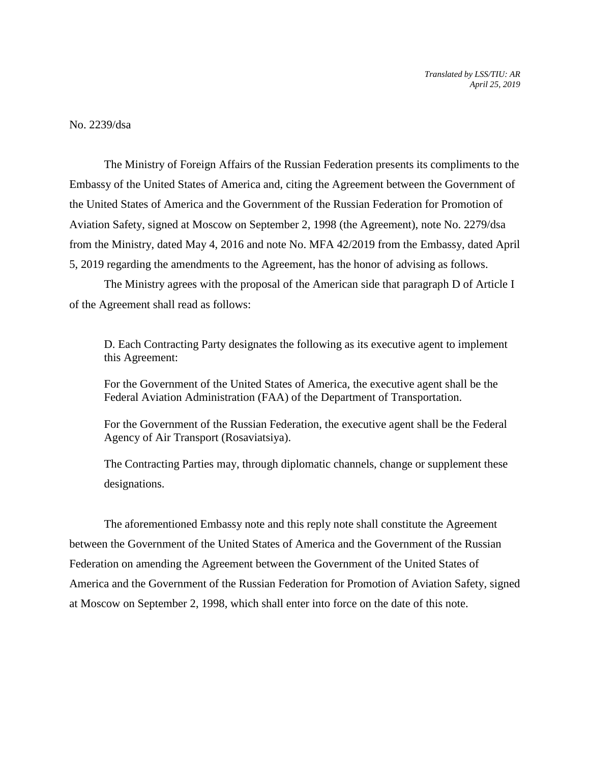No. 2239/dsa

 Embassy of the United States of America and, citing the Agreement between the Government of Aviation Safety, signed at Moscow on September 2, 1998 (the Agreement), note No. 2279/dsa from the Ministry, dated May 4, 2016 and note No. MFA 42/2019 from the Embassy, dated April The Ministry of Foreign Affairs of the Russian Federation presents its compliments to the the United States of America and the Government of the Russian Federation for Promotion of 5, 2019 regarding the amendments to the Agreement, has the honor of advising as follows.

 The Ministry agrees with the proposal of the American side that paragraph D of Article I of the Agreement shall read as follows:

 D. Each Contracting Party designates the following as its executive agent to implement this Agreement:

For the Government of the United States of America, the executive agent shall be the Federal Aviation Administration (FAA) of the Department of Transportation.

For the Government of the Russian Federation, the executive agent shall be the Federal Agency of Air Transport (Rosaviatsiya).

The Contracting Parties may, through diplomatic channels, change or supplement these designations.

 The aforementioned Embassy note and this reply note shall constitute the Agreement Federation on amending the Agreement between the Government of the United States of at Moscow on September 2, 1998, which shall enter into force on the date of this note. between the Government of the United States of America and the Government of the Russian America and the Government of the Russian Federation for Promotion of Aviation Safety, signed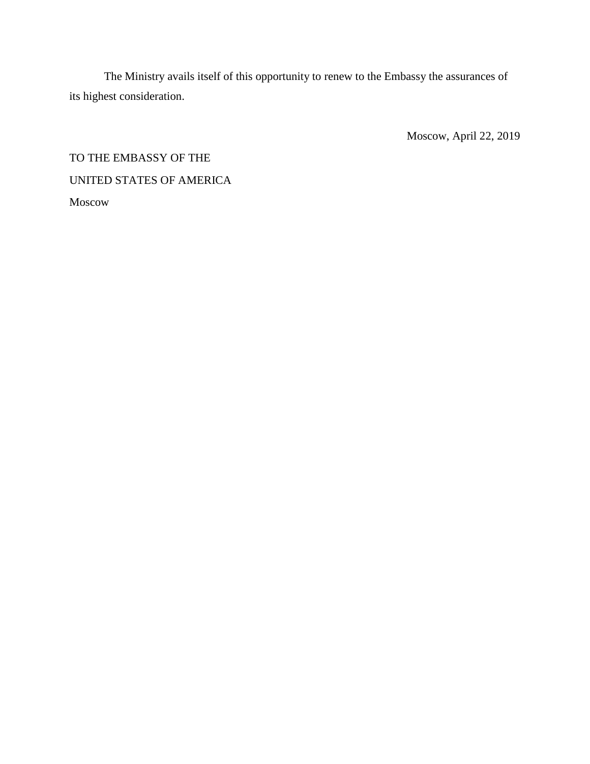The Ministry avails itself of this opportunity to renew to the Embassy the assurances of its highest consideration.

Moscow, April 22, 2019

# TO THE EMBASSY OF THE UNITED STATES OF AMERICA Moscow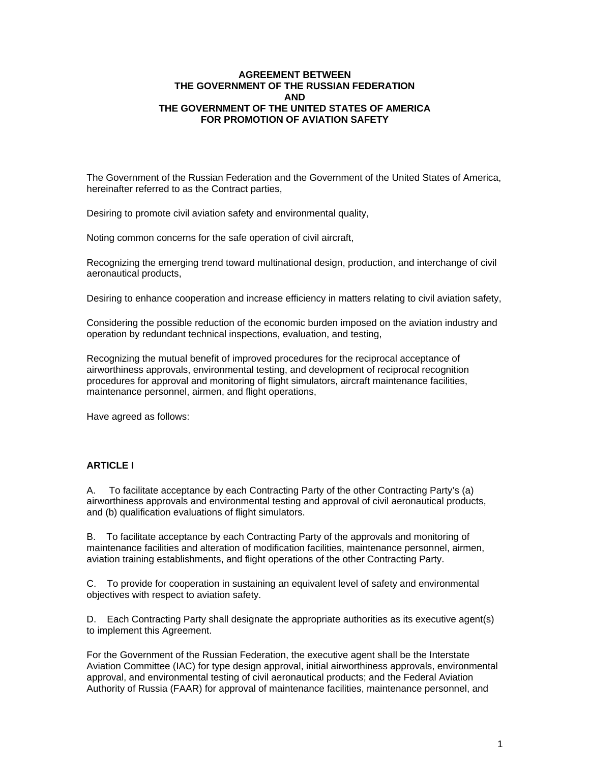#### **FOR PROMOTION OF AVIATION SAFETY AGREEMENT BETWEEN THE GOVERNMENT OF THE RUSSIAN FEDERATION AND THE GOVERNMENT OF THE UNITED STATES OF AMERICA**

hereinafter referred to as the Contract parties. The Government of the Russian Federation and the Government of the United States of America,

Desiring to promote civil aviation safety and environmental quality,

Noting common concerns for the safe operation of civil aircraft,

aeronautical products, Recognizing the emerging trend toward multinational design, production, and interchange of civil

aeronautical products,<br>Desiring to enhance cooperation and increase efficiency in matters relating to civil aviation safety,<br>Considering the possible reduction of the economic burden imposed on the aviation industry and

operation by redundant technical inspections, evaluation, and testing,

maintenance personnel, airmen, and flight operations,<br>Have agreed as follows: Recognizing the mutual benefit of improved procedures for the reciprocal acceptance of airworthiness approvals, environmental testing, and development of reciprocal recognition procedures for approval and monitoring of flight simulators, aircraft maintenance facilities,

Have agreed as follows:

#### **ARTICLE I**

and (b) qualification evaluations of flight simulators. A. To facilitate acceptance by each Contracting Party of the other Contracting Party's (a) airworthiness approvals and environmental testing and approval of civil aeronautical products,

aviation training establishments, and flight operations of the other Contracting Party.<br>C. To provide for cooperation in sustaining an equivalent level of safety and environmental aviation training establishments, and flight operations of the other Contracting Party. B. To facilitate acceptance by each Contracting Party of the approvals and monitoring of maintenance facilities and alteration of modification facilities, maintenance personnel, airmen,

objectives with respect to aviation safety.

objectives with respect to aviation safety.<br>D. Each Contracting Party shall designate the appropriate authorities as its executive agent(s) to implement this Agreement.

For the Government of the Russian Federation, the executive agent shall be the Interstate Aviation Committee (IAC) for type design approval, initial airworthiness approvals, environmental approval, and environmental testing of civil aeronautical products; and the Federal Aviation Authority of Russia (FAAR) for approval of maintenance facilities, maintenance personnel, and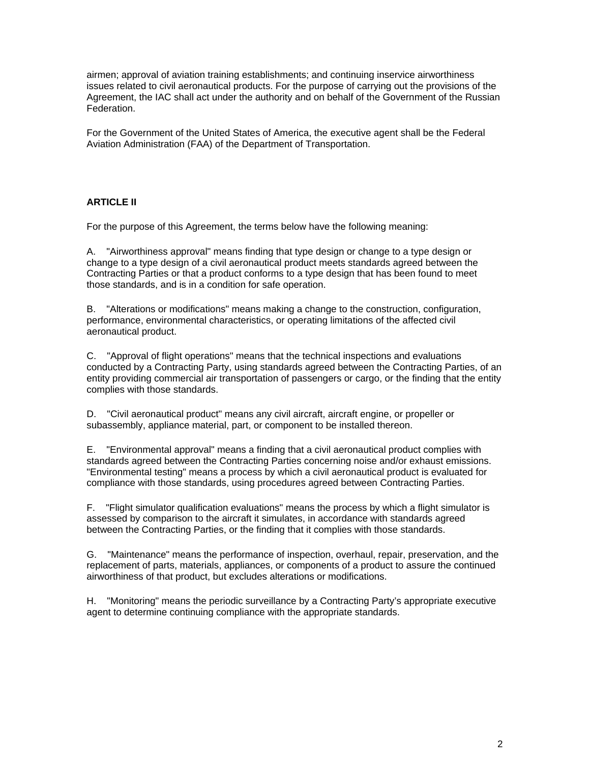Federation. airmen; approval of aviation training establishments; and continuing inservice airworthiness issues related to civil aeronautical products. For the purpose of carrying out the provisions of the Agreement, the IAC shall act under the authority and on behalf of the Government of the Russian

 Aviation Administration (FAA) of the Department of Transportation. For the Government of the United States of America, the executive agent shall be the Federal

## **ARTICLE II**

For the purpose of this Agreement, the terms below have the following meaning:

those standards, and is in a condition for safe operation. A. "Airworthiness approval" means finding that type design or change to a type design or change to a type design of a civil aeronautical product meets standards agreed between the Contracting Parties or that a product conforms to a type design that has been found to meet

aeronautical product. B. "Alterations or modifications" means making a change to the construction, configuration, performance, environmental characteristics, or operating limitations of the affected civil

aeronautical product.<br>C. "Approval of flight operations" means that the technical inspections and evaluations complies with those standards. conducted by a Contracting Party, using standards agreed between the Contracting Parties, of an entity providing commercial air transportation of passengers or cargo, or the finding that the entity

complies with those standards.<br>D. "Civil aeronautical product" means any civil aircraft, aircraft engine, or propeller or subassembly, appliance material, part, or component to be installed thereon.

compliance with those standards, using procedures agreed between Contracting Parties. E. "Environmental approval" means a finding that a civil aeronautical product complies with standards agreed between the Contracting Parties concerning noise and/or exhaust emissions. "Environmental testing" means a process by which a civil aeronautical product is evaluated for

compliance with those standards, using procedures agreed between Contracting Parties.<br>F. "Flight simulator qualification evaluations" means the process by which a flight simulator is between the Contracting Parties, or the finding that it complies with those standards. assessed by comparison to the aircraft it simulates, in accordance with standards agreed

between the Contracting Parties, or the finding that it complies with those standards.<br>G. "Maintenance" means the performance of inspection, overhaul, repair, preservation, and the airworthiness of that product, but excludes alterations or modifications.<br>H. "Monitoring" means the periodic surveillance by a Contracting Party's appropriate executive airworthiness of that product, but excludes alterations or modifications. replacement of parts, materials, appliances, or components of a product to assure the continued

agent to determine continuing compliance with the appropriate standards. agent to determine continuing compliance with the appropriate standards.<br>
2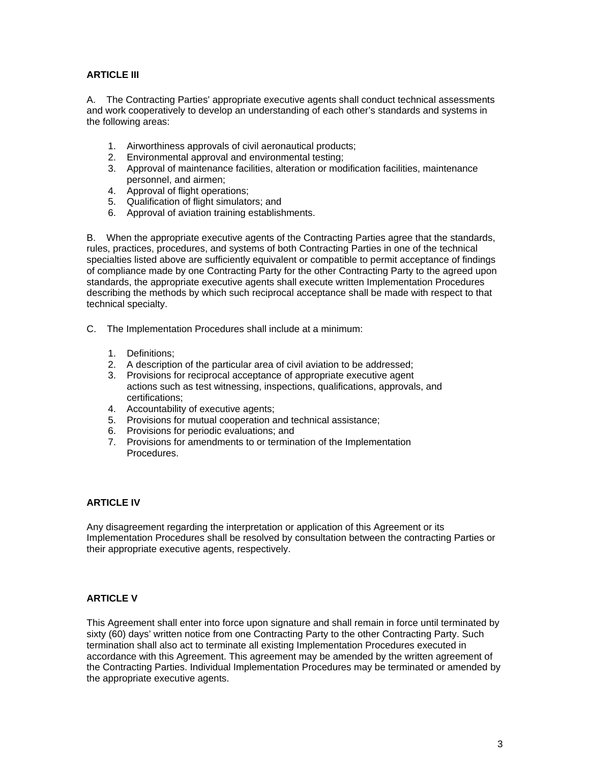# **ARTICLE III**

 the following areas: A. The Contracting Parties' appropriate executive agents shall conduct technical assessments and work cooperatively to develop an understanding of each other's standards and systems in

- 1. Airworthiness approvals of civil aeronautical products;
- 2. Environmental approval and environmental testing;
- 3. Approval of maintenance facilities, alteration or modification facilities, maintenance personnel, and airmen;
- 4. Approval of flight operations;
- 5. Qualification of flight simulators; and
- 6. Approval of aviation training establishments.

technical specialty. B. When the appropriate executive agents of the Contracting Parties agree that the standards, rules, practices, procedures, and systems of both Contracting Parties in one of the technical specialties listed above are sufficiently equivalent or compatible to permit acceptance of findings of compliance made by one Contracting Party for the other Contracting Party to the agreed upon standards, the appropriate executive agents shall execute written Implementation Procedures describing the methods by which such reciprocal acceptance shall be made with respect to that

- technical specialty.<br>C. The Implementation Procedures shall include at a minimum:
	- 1. Definitions;
	- 2. A description of the particular area of civil aviation to be addressed;
	- 3. Provisions for reciprocal acceptance of appropriate executive agent actions such as test witnessing, inspections, qualifications, approvals, and certifications;
	- 4. Accountability of executive agents;
	- 5. Provisions for mutual cooperation and technical assistance;
	- 6. Provisions for periodic evaluations; and
	- 7. Provisions for amendments to or termination of the Implementation Procedures.

## **ARTICLE IV**

 their appropriate executive agents, respectively. Any disagreement regarding the interpretation or application of this Agreement or its Implementation Procedures shall be resolved by consultation between the contracting Parties or

## **ARTICLE V**

the appropriate executive agents. This Agreement shall enter into force upon signature and shall remain in force until terminated by sixty (60) days' written notice from one Contracting Party to the other Contracting Party. Such termination shall also act to terminate all existing Implementation Procedures executed in accordance with this Agreement. This agreement may be amended by the written agreement of the Contracting Parties. Individual Implementation Procedures may be terminated or amended by the appropriate executive agents.<br>
3